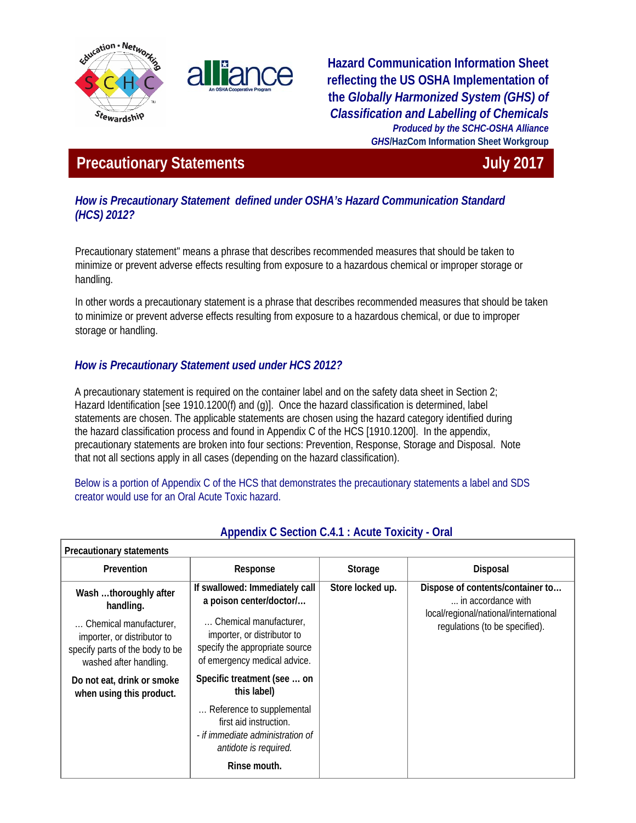



**Hazard Communication Information Sheet reflecting the US OSHA Implementation of the** *Globally Harmonized System (GHS) of Classification and Labelling of Chemicals Produced by the SCHC-OSHA Alliance GHS***/HazCom Information Sheet Workgroup**

# **Precautionary Statements Contract Contract Contract Contract Contract Contract Contract Contract Contract Contract Contract Contract Contract Contract Contract Contract Contract Contract Contract Contract Contract Contr**

## *How is Precautionary Statement defined under OSHA's Hazard Communication Standard (HCS) 2012?*

Precautionary statement" means a phrase that describes recommended measures that should be taken to minimize or prevent adverse effects resulting from exposure to a hazardous chemical or improper storage or handling.

In other words a precautionary statement is a phrase that describes recommended measures that should be taken to minimize or prevent adverse effects resulting from exposure to a hazardous chemical, or due to improper storage or handling.

# *How is Precautionary Statement used under HCS 2012?*

A precautionary statement is required on the container label and on the safety data sheet in Section 2; Hazard Identification [see 1910.1200(f) and (g)]. Once the hazard classification is determined, label statements are chosen. The applicable statements are chosen using the hazard category identified during the hazard classification process and found in Appendix C of the HCS [1910.1200]. In the appendix, precautionary statements are broken into four sections: Prevention, Response, Storage and Disposal. Note that not all sections apply in all cases (depending on the hazard classification).

Below is a portion of Appendix C of the HCS that demonstrates the precautionary statements a label and SDS creator would use for an Oral Acute Toxic hazard.

| <b>Precautionary statements</b>                                                                                                                          |                                                                                                                                                                                      |                  |                                                                                                                                   |
|----------------------------------------------------------------------------------------------------------------------------------------------------------|--------------------------------------------------------------------------------------------------------------------------------------------------------------------------------------|------------------|-----------------------------------------------------------------------------------------------------------------------------------|
| Prevention                                                                                                                                               | Response                                                                                                                                                                             | Storage          | Disposal                                                                                                                          |
| Wash thoroughly after<br>handling.<br>Chemical manufacturer.<br>importer, or distributor to<br>specify parts of the body to be<br>washed after handling. | If swallowed: Immediately call<br>a poison center/doctor/<br>Chemical manufacturer,<br>importer, or distributor to<br>specify the appropriate source<br>of emergency medical advice. | Store locked up. | Dispose of contents/container to<br>in accordance with<br>local/regional/national/international<br>regulations (to be specified). |
| Do not eat, drink or smoke<br>when using this product.                                                                                                   | Specific treatment (see  on<br>this label)                                                                                                                                           |                  |                                                                                                                                   |
|                                                                                                                                                          | Reference to supplemental<br>first aid instruction.<br>- if immediate administration of<br>antidote is required.                                                                     |                  |                                                                                                                                   |
|                                                                                                                                                          | Rinse mouth.                                                                                                                                                                         |                  |                                                                                                                                   |

#### **Appendix C Section C.4.1 : Acute Toxicity - Oral**